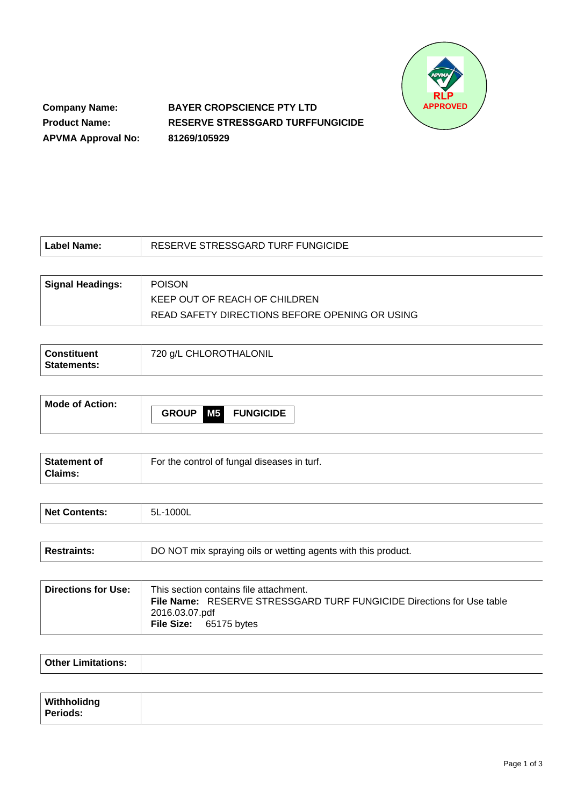

**Company Name: Product Name: APVMA Approval No:** **BAYER CROPSCIENCE PTY LTD RESERVE STRESSGARD TURFFUNGICIDE 81269/105929**

| Label Name:             | RESERVE STRESSGARD TURF FUNGICIDE              |
|-------------------------|------------------------------------------------|
|                         |                                                |
| <b>Signal Headings:</b> | <b>POISON</b>                                  |
|                         | KEEP OUT OF REACH OF CHILDREN                  |
|                         | READ SAFETY DIRECTIONS BEFORE OPENING OR USING |

| ' Constituent<br><b>Statements:</b> | 720 g/L CHLOROTHALONIL |
|-------------------------------------|------------------------|
|                                     |                        |

| <b>Mode of Action:</b> |                           |  |  |  |
|------------------------|---------------------------|--|--|--|
|                        | <b>GROUP M5 FUNGICIDE</b> |  |  |  |
|                        |                           |  |  |  |

| Statement of<br>Claims: | For the control of fungal diseases in turf. |
|-------------------------|---------------------------------------------|
|-------------------------|---------------------------------------------|

| Net Contents: | 5L-1000L |
|---------------|----------|
|               |          |

| <b>Restraints:</b> | DO NOT mix spraying oils or wetting agents with this product. |
|--------------------|---------------------------------------------------------------|
|                    |                                                               |

| ∣ Directions for Use: ⊺ | This section contains file attachment.                                       |
|-------------------------|------------------------------------------------------------------------------|
|                         | <b>File Name:</b> RESERVE STRESSGARD TURF FUNGICIDE Directions for Use table |
|                         | 2016.03.07.pdf                                                               |
|                         | <b>File Size:</b> 65175 bytes                                                |
|                         |                                                                              |

| $O$ thar I im |  |
|---------------|--|
|               |  |

| Withholidng     |  |
|-----------------|--|
| <b>Periods:</b> |  |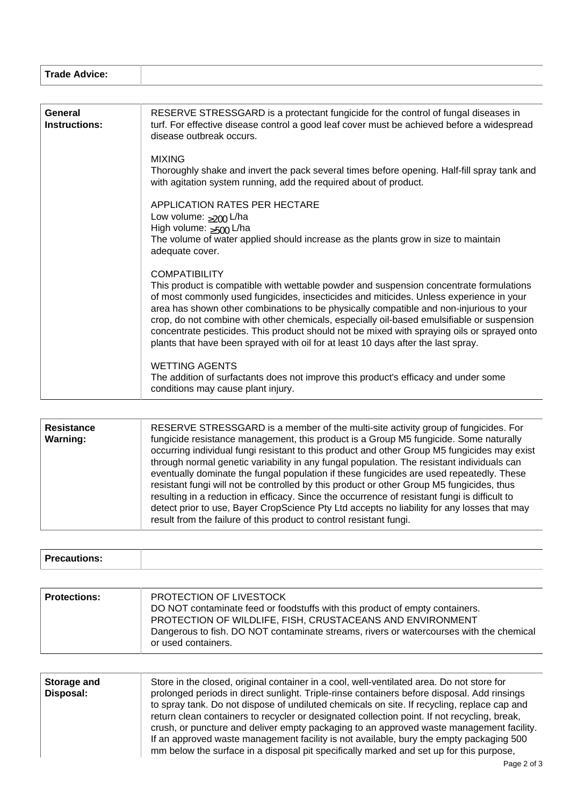| Trade Advice: |
|---------------|
|               |

| General<br>Instructions: | RESERVE STRESSGARD is a protectant fungicide for the control of fungal diseases in<br>turf. For effective disease control a good leaf cover must be achieved before a widespread<br>disease outbreak occurs.                                                                                                                                                                                                                                                                                                                                                    |
|--------------------------|-----------------------------------------------------------------------------------------------------------------------------------------------------------------------------------------------------------------------------------------------------------------------------------------------------------------------------------------------------------------------------------------------------------------------------------------------------------------------------------------------------------------------------------------------------------------|
|                          | <b>MIXING</b>                                                                                                                                                                                                                                                                                                                                                                                                                                                                                                                                                   |
|                          | Thoroughly shake and invert the pack several times before opening. Half-fill spray tank and<br>with agitation system running, add the required about of product.                                                                                                                                                                                                                                                                                                                                                                                                |
|                          | APPLICATION RATES PER HECTARE                                                                                                                                                                                                                                                                                                                                                                                                                                                                                                                                   |
|                          | Low volume: $>200$ L/ha                                                                                                                                                                                                                                                                                                                                                                                                                                                                                                                                         |
|                          | High volume: $>500$ L/ha                                                                                                                                                                                                                                                                                                                                                                                                                                                                                                                                        |
|                          | The volume of water applied should increase as the plants grow in size to maintain                                                                                                                                                                                                                                                                                                                                                                                                                                                                              |
|                          | adequate cover.                                                                                                                                                                                                                                                                                                                                                                                                                                                                                                                                                 |
|                          |                                                                                                                                                                                                                                                                                                                                                                                                                                                                                                                                                                 |
|                          | <b>COMPATIBILITY</b>                                                                                                                                                                                                                                                                                                                                                                                                                                                                                                                                            |
|                          | This product is compatible with wettable powder and suspension concentrate formulations<br>of most commonly used fungicides, insecticides and miticides. Unless experience in your<br>area has shown other combinations to be physically compatible and non-injurious to your<br>crop, do not combine with other chemicals, especially oil-based emulsifiable or suspension<br>concentrate pesticides. This product should not be mixed with spraying oils or sprayed onto<br>plants that have been sprayed with oil for at least 10 days after the last spray. |
|                          | <b>WETTING AGENTS</b>                                                                                                                                                                                                                                                                                                                                                                                                                                                                                                                                           |
|                          | The addition of surfactants does not improve this product's efficacy and under some<br>conditions may cause plant injury.                                                                                                                                                                                                                                                                                                                                                                                                                                       |

| RESERVE STRESSGARD is a member of the multi-site activity group of fungicides. For<br><b>Resistance</b><br><b>Warning:</b><br>fungicide resistance management, this product is a Group M5 fungicide. Some naturally<br>occurring individual fungi resistant to this product and other Group M5 fungicides may exist<br>through normal genetic variability in any fungal population. The resistant individuals can<br>eventually dominate the fungal population if these fungicides are used repeatedly. These<br>resistant fungi will not be controlled by this product or other Group M5 fungicides, thus<br>resulting in a reduction in efficacy. Since the occurrence of resistant fungi is difficult to<br>detect prior to use, Bayer CropScience Pty Ltd accepts no liability for any losses that may<br>result from the failure of this product to control resistant fungi. |
|-----------------------------------------------------------------------------------------------------------------------------------------------------------------------------------------------------------------------------------------------------------------------------------------------------------------------------------------------------------------------------------------------------------------------------------------------------------------------------------------------------------------------------------------------------------------------------------------------------------------------------------------------------------------------------------------------------------------------------------------------------------------------------------------------------------------------------------------------------------------------------------|
|-----------------------------------------------------------------------------------------------------------------------------------------------------------------------------------------------------------------------------------------------------------------------------------------------------------------------------------------------------------------------------------------------------------------------------------------------------------------------------------------------------------------------------------------------------------------------------------------------------------------------------------------------------------------------------------------------------------------------------------------------------------------------------------------------------------------------------------------------------------------------------------|

| <b>STATES</b><br><b>Precautions</b> |  |
|-------------------------------------|--|
|                                     |  |

| <b>Protections:</b> | PROTECTION OF LIVESTOCK<br>DO NOT contaminate feed or foodstuffs with this product of empty containers.<br>PROTECTION OF WILDLIFE, FISH, CRUSTACEANS AND ENVIRONMENT<br>Dangerous to fish. DO NOT contaminate streams, rivers or watercourses with the chemical<br>or used containers. |
|---------------------|----------------------------------------------------------------------------------------------------------------------------------------------------------------------------------------------------------------------------------------------------------------------------------------|
|---------------------|----------------------------------------------------------------------------------------------------------------------------------------------------------------------------------------------------------------------------------------------------------------------------------------|

| Storage and<br>Disposal: | Store in the closed, original container in a cool, well-ventilated area. Do not store for<br>prolonged periods in direct sunlight. Triple-rinse containers before disposal. Add rinsings<br>to spray tank. Do not dispose of undiluted chemicals on site. If recycling, replace cap and<br>return clean containers to recycler or designated collection point. If not recycling, break,<br>crush, or puncture and deliver empty packaging to an approved waste management facility.<br>If an approved waste management facility is not available, bury the empty packaging 500 |
|--------------------------|--------------------------------------------------------------------------------------------------------------------------------------------------------------------------------------------------------------------------------------------------------------------------------------------------------------------------------------------------------------------------------------------------------------------------------------------------------------------------------------------------------------------------------------------------------------------------------|
|                          | mm below the surface in a disposal pit specifically marked and set up for this purpose,                                                                                                                                                                                                                                                                                                                                                                                                                                                                                        |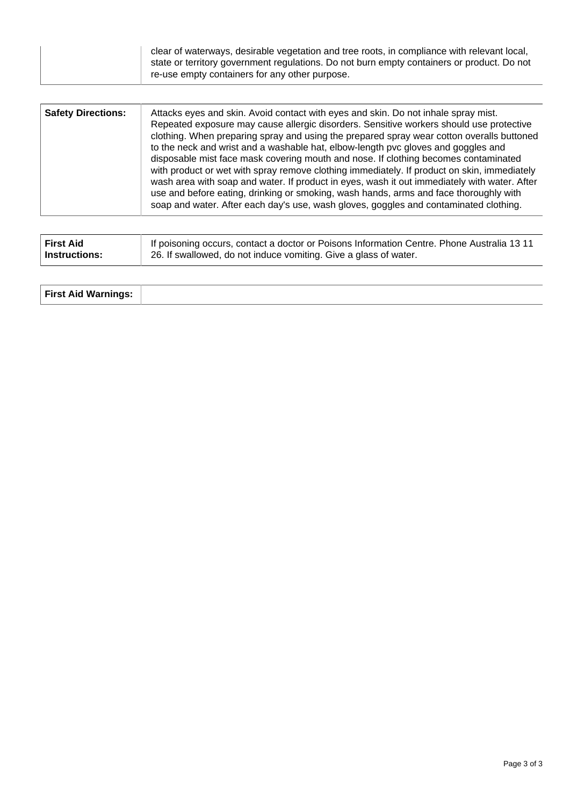| <b>Safety Directions:</b> | Attacks eyes and skin. Avoid contact with eyes and skin. Do not inhale spray mist.<br>Repeated exposure may cause allergic disorders. Sensitive workers should use protective<br>clothing. When preparing spray and using the prepared spray wear cotton overalls buttoned<br>to the neck and wrist and a washable hat, elbow-length pvc gloves and goggles and<br>disposable mist face mask covering mouth and nose. If clothing becomes contaminated<br>with product or wet with spray remove clothing immediately. If product on skin, immediately<br>wash area with soap and water. If product in eyes, wash it out immediately with water. After<br>use and before eating, drinking or smoking, wash hands, arms and face thoroughly with<br>soap and water. After each day's use, wash gloves, goggles and contaminated clothing. |
|---------------------------|-----------------------------------------------------------------------------------------------------------------------------------------------------------------------------------------------------------------------------------------------------------------------------------------------------------------------------------------------------------------------------------------------------------------------------------------------------------------------------------------------------------------------------------------------------------------------------------------------------------------------------------------------------------------------------------------------------------------------------------------------------------------------------------------------------------------------------------------|
|---------------------------|-----------------------------------------------------------------------------------------------------------------------------------------------------------------------------------------------------------------------------------------------------------------------------------------------------------------------------------------------------------------------------------------------------------------------------------------------------------------------------------------------------------------------------------------------------------------------------------------------------------------------------------------------------------------------------------------------------------------------------------------------------------------------------------------------------------------------------------------|

| <b>First Aid</b> | If poisoning occurs, contact a doctor or Poisons Information Centre. Phone Australia 13 11 |
|------------------|--------------------------------------------------------------------------------------------|
| Instructions:    | 26. If swallowed, do not induce vomiting. Give a glass of water.                           |

| <b>First Aid Warnings:</b> |  |
|----------------------------|--|